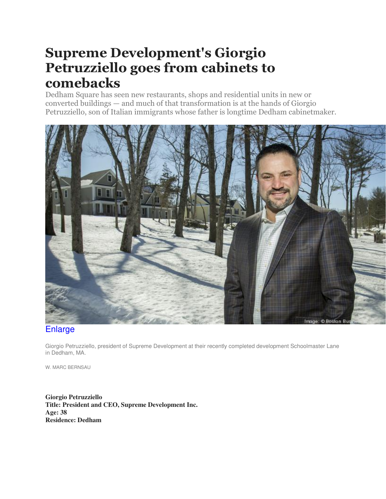## **Supreme Development's Giorgio Petruzziello goes from cabinets to comebacks**

Dedham Square has seen new restaurants, shops and residential units in new or converted buildings — and much of that transformation is at the hands of Giorgio [Petruzziello, son of Italian immigrants whose father is longtime Dedham cabinetmaker.](https://www.bizjournals.com/) 



## [Enlarge](https://www.bizjournals.com/)

Giorgio Petruzziello, president of Supreme Development at their recently completed development Schoolmaster Lane in Dedham, MA.

W. MARC BERNSAU

**Giorgio Petruzziello Title: President and CEO, Supreme Development Inc. Age: 38 Residence: Dedham**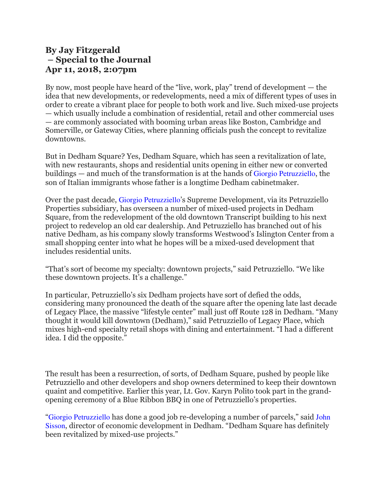## **By Jay Fitzgerald – Special to the Journal Apr 11, 2018, 2:07pm**

By now, most people have heard of the "live, work, play" trend of development — the idea that new developments, or redevelopments, need a mix of different types of uses in order to create a vibrant place for people to both work and live. Such mixed-use projects — which usually include a combination of residential, retail and other commercial uses — are commonly associated with booming urban areas like Boston, Cambridge and Somerville, or Gateway Cities, where planning officials push the concept to revitalize downtowns.

But in Dedham Square? Yes, Dedham Square, which has seen a revitalization of late, with new restaurants, shops and residential units opening in either new or converted buildings — and much of the transformation is at the hands of [Giorgio Petruzziello](https://www.bizjournals.com/boston/search/results?q=Giorgio%20Petruzziello), the son of Italian immigrants whose father is a longtime Dedham cabinetmaker.

Over the past decade, [Giorgio Petruzziello](https://www.bizjournals.com/boston/search/results?q=Giorgio%20Petruzziello)'s Supreme Development, via its Petruzziello Properties subsidiary, has overseen a number of mixed-used projects in Dedham Square, from the redevelopment of the old downtown Transcript building to his next project to redevelop an old car dealership. And Petruzziello has branched out of his native Dedham, as his company slowly transforms Westwood's Islington Center from a small shopping center into what he hopes will be a mixed-used development that includes residential units.

"That's sort of become my specialty: downtown projects," said Petruzziello. "We like these downtown projects. It's a challenge."

In particular, Petruzziello's six Dedham projects have sort of defied the odds, considering many pronounced the death of the square after the opening late last decade of Legacy Place, the massive "lifestyle center" mall just off Route 128 in Dedham. "Many thought it would kill downtown (Dedham)," said Petruzziello of Legacy Place, which mixes high-end specialty retail shops with dining and entertainment. "I had a different idea. I did the opposite."

The result has been a resurrection, of sorts, of Dedham Square, pushed by people like Petruzziello and other developers and shop owners determined to keep their downtown quaint and competitive. Earlier this year, Lt. Gov. Karyn Polito took part in the grandopening ceremony of a Blue Ribbon BBQ in one of Petruzziello's properties.

"[Giorgio Petruzziello](https://www.bizjournals.com/boston/search/results?q=Giorgio%20Petruzziello) has done a good job re-developing a number of parcels," said [John](https://www.bizjournals.com/boston/search/results?q=John%20Sisson)  [Sisson](https://www.bizjournals.com/boston/search/results?q=John%20Sisson), director of economic development in Dedham. "Dedham Square has definitely been revitalized by mixed-use projects."